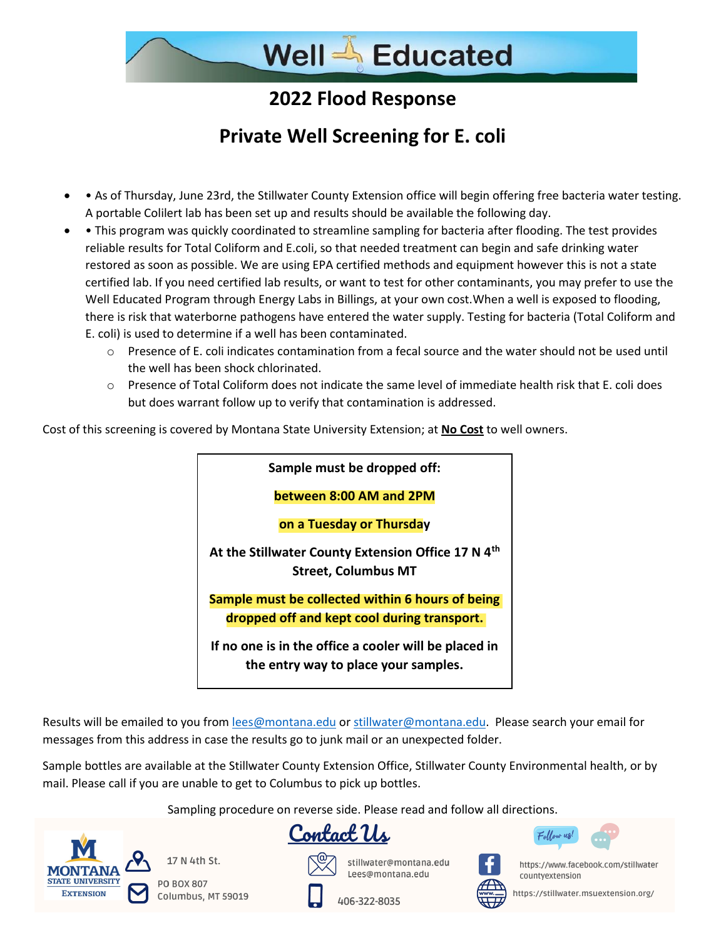## **2022 Flood Response**

## **Private Well Screening for E. coli**

- • As of Thursday, June 23rd, the Stillwater County Extension office will begin offering free bacteria water testing. A portable Colilert lab has been set up and results should be available the following day.
- This program was quickly coordinated to streamline sampling for bacteria after flooding. The test provides reliable results for Total Coliform and E.coli, so that needed treatment can begin and safe drinking water restored as soon as possible. We are using EPA certified methods and equipment however this is not a state certified lab. If you need certified lab results, or want to test for other contaminants, you may prefer to use the Well Educated Program through Energy Labs in Billings, at your own cost.When a well is exposed to flooding, there is risk that waterborne pathogens have entered the water supply. Testing for bacteria (Total Coliform and E. coli) is used to determine if a well has been contaminated.
	- $\circ$  Presence of E. coli indicates contamination from a fecal source and the water should not be used until the well has been shock chlorinated.
	- o Presence of Total Coliform does not indicate the same level of immediate health risk that E. coli does but does warrant follow up to verify that contamination is addressed.

Cost of this screening is covered by Montana State University Extension; at **No Cost** to well owners.



Results will be emailed to you from [lees@montana.edu](mailto:lees@montana.edu) or [stillwater@montana.edu.](mailto:stillwater@montana.edu) Please search your email for messages from this address in case the results go to junk mail or an unexpected folder.

Sample bottles are available at the Stillwater County Extension Office, Stillwater County Environmental health, or by mail. Please call if you are unable to get to Columbus to pick up bottles.

Sampling procedure on reverse side. Please read and follow all directions.



17 N 4th St.

**PO BOX 807** Columbus, MT 59019





stillwater@montana.edu Lees@montana edu



https://www.facebook.com/stillwater countyextension

https://stillwater.msuextension.org/

406-322-8035